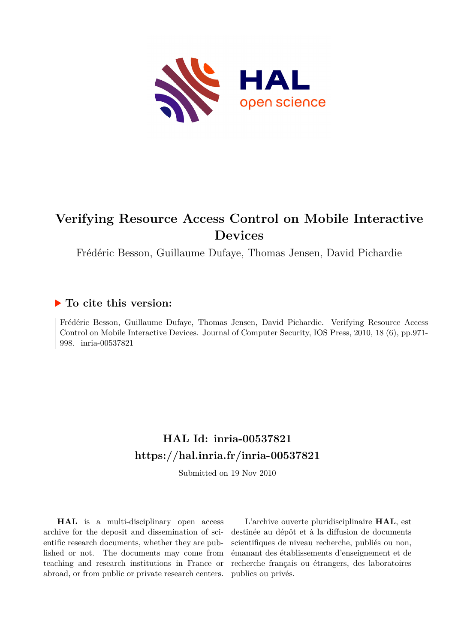

# **Verifying Resource Access Control on Mobile Interactive Devices**

Frédéric Besson, Guillaume Dufaye, Thomas Jensen, David Pichardie

# **To cite this version:**

Frédéric Besson, Guillaume Dufaye, Thomas Jensen, David Pichardie. Verifying Resource Access Control on Mobile Interactive Devices. Journal of Computer Security, IOS Press, 2010, 18 (6), pp.971- 998. inria-00537821

# **HAL Id: inria-00537821 <https://hal.inria.fr/inria-00537821>**

Submitted on 19 Nov 2010

**HAL** is a multi-disciplinary open access archive for the deposit and dissemination of scientific research documents, whether they are published or not. The documents may come from teaching and research institutions in France or abroad, or from public or private research centers.

L'archive ouverte pluridisciplinaire **HAL**, est destinée au dépôt et à la diffusion de documents scientifiques de niveau recherche, publiés ou non, émanant des établissements d'enseignement et de recherche français ou étrangers, des laboratoires publics ou privés.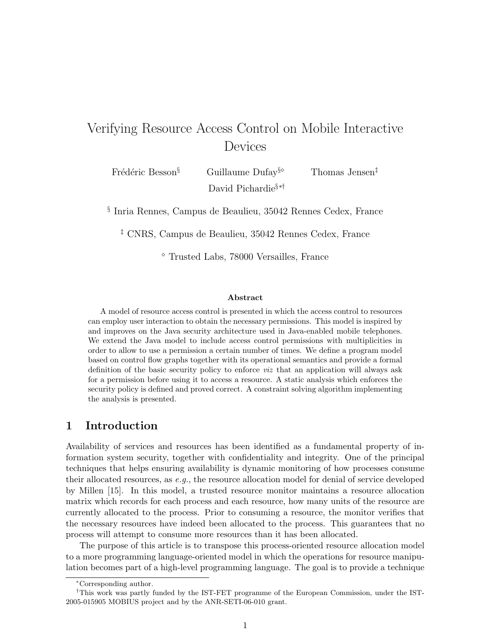# Verifying Resource Access Control on Mobile Interactive Devices

Frédéric Besson<sup>§</sup> Guillaume Dufay<sup>§</sup>⊗ Thomas Jensen<sup>‡</sup> David Pichardie§∗†

§ Inria Rennes, Campus de Beaulieu, 35042 Rennes Cedex, France

‡ CNRS, Campus de Beaulieu, 35042 Rennes Cedex, France

<sup>⋄</sup> Trusted Labs, 78000 Versailles, France

#### **Abstract**

A model of resource access control is presented in which the access control to resources can employ user interaction to obtain the necessary permissions. This model is inspired by and improves on the Java security architecture used in Java-enabled mobile telephones. We extend the Java model to include access control permissions with multiplicities in order to allow to use a permission a certain number of times. We define a program model based on control flow graphs together with its operational semantics and provide a formal definition of the basic security policy to enforce *viz* that an application will always ask for a permission before using it to access a resource. A static analysis which enforces the security policy is defined and proved correct. A constraint solving algorithm implementing the analysis is presented.

## **1 Introduction**

Availability of services and resources has been identified as a fundamental property of information system security, together with confidentiality and integrity. One of the principal techniques that helps ensuring availability is dynamic monitoring of how processes consume their allocated resources, as *e.g.*, the resource allocation model for denial of service developed by Millen [15]. In this model, a trusted resource monitor maintains a resource allocation matrix which records for each process and each resource, how many units of the resource are currently allocated to the process. Prior to consuming a resource, the monitor verifies that the necessary resources have indeed been allocated to the process. This guarantees that no process will attempt to consume more resources than it has been allocated.

The purpose of this article is to transpose this process-oriented resource allocation model to a more programming language-oriented model in which the operations for resource manipulation becomes part of a high-level programming language. The goal is to provide a technique

<sup>∗</sup>Corresponding author.

<sup>†</sup>This work was partly funded by the IST-FET programme of the European Commission, under the IST-2005-015905 MOBIUS project and by the ANR-SETI-06-010 grant.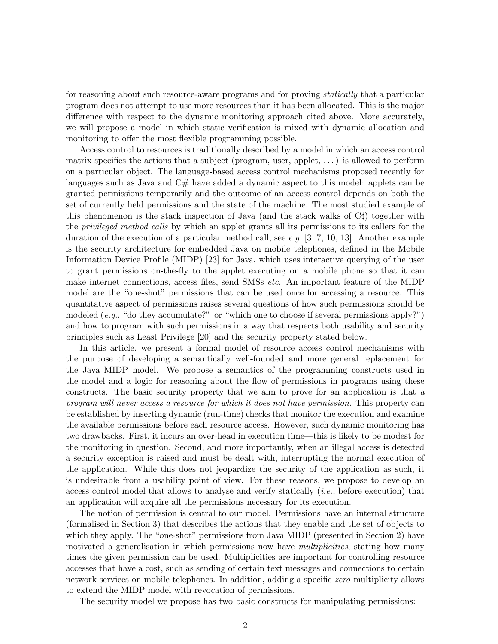for reasoning about such resource-aware programs and for proving *statically* that a particular program does not attempt to use more resources than it has been allocated. This is the major difference with respect to the dynamic monitoring approach cited above. More accurately, we will propose a model in which static verification is mixed with dynamic allocation and monitoring to offer the most flexible programming possible.

Access control to resources is traditionally described by a model in which an access control matrix specifies the actions that a subject (program, user, applet, . . . ) is allowed to perform on a particular object. The language-based access control mechanisms proposed recently for languages such as Java and C# have added a dynamic aspect to this model: applets can be granted permissions temporarily and the outcome of an access control depends on both the set of currently held permissions and the state of the machine. The most studied example of this phenomenon is the stack inspection of Java (and the stack walks of C♯) together with the *privileged method calls* by which an applet grants all its permissions to its callers for the duration of the execution of a particular method call, see *e.g.* [3, 7, 10, 13]. Another example is the security architecture for embedded Java on mobile telephones, defined in the Mobile Information Device Profile (MIDP) [23] for Java, which uses interactive querying of the user to grant permissions on-the-fly to the applet executing on a mobile phone so that it can make internet connections, access files, send SMSs *etc*. An important feature of the MIDP model are the "one-shot" permissions that can be used once for accessing a resource. This quantitative aspect of permissions raises several questions of how such permissions should be modeled (*e.g.*, "do they accumulate?" or "which one to choose if several permissions apply?") and how to program with such permissions in a way that respects both usability and security principles such as Least Privilege [20] and the security property stated below.

In this article, we present a formal model of resource access control mechanisms with the purpose of developing a semantically well-founded and more general replacement for the Java MIDP model. We propose a semantics of the programming constructs used in the model and a logic for reasoning about the flow of permissions in programs using these constructs. The basic security property that we aim to prove for an application is that *a program will never access a resource for which it does not have permission.* This property can be established by inserting dynamic (run-time) checks that monitor the execution and examine the available permissions before each resource access. However, such dynamic monitoring has two drawbacks. First, it incurs an over-head in execution time—this is likely to be modest for the monitoring in question. Second, and more importantly, when an illegal access is detected a security exception is raised and must be dealt with, interrupting the normal execution of the application. While this does not jeopardize the security of the application as such, it is undesirable from a usability point of view. For these reasons, we propose to develop an access control model that allows to analyse and verify statically (*i.e.*, before execution) that an application will acquire all the permissions necessary for its execution.

The notion of permission is central to our model. Permissions have an internal structure (formalised in Section 3) that describes the actions that they enable and the set of objects to which they apply. The "one-shot" permissions from Java MIDP (presented in Section 2) have motivated a generalisation in which permissions now have *multiplicities*, stating how many times the given permission can be used. Multiplicities are important for controlling resource accesses that have a cost, such as sending of certain text messages and connections to certain network services on mobile telephones. In addition, adding a specific *zero* multiplicity allows to extend the MIDP model with revocation of permissions.

The security model we propose has two basic constructs for manipulating permissions: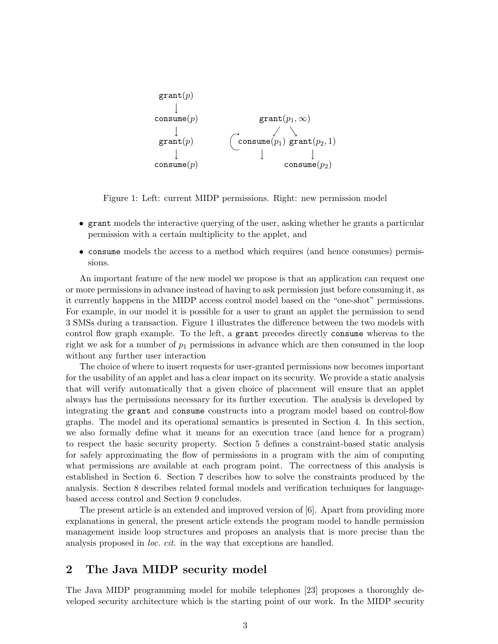

Figure 1: Left: current MIDP permissions. Right: new permission model

- grant models the interactive querying of the user, asking whether he grants a particular permission with a certain multiplicity to the applet, and
- consume models the access to a method which requires (and hence consumes) permissions.

An important feature of the new model we propose is that an application can request one or more permissions in advance instead of having to ask permission just before consuming it, as it currently happens in the MIDP access control model based on the "one-shot" permissions. For example, in our model it is possible for a user to grant an applet the permission to send 3 SMSs during a transaction. Figure 1 illustrates the difference between the two models with control flow graph example. To the left, a grant precedes directly consume whereas to the right we ask for a number of  $p_1$  permissions in advance which are then consumed in the loop without any further user interaction

The choice of where to insert requests for user-granted permissions now becomes important for the usability of an applet and has a clear impact on its security. We provide a static analysis that will verify automatically that a given choice of placement will ensure that an applet always has the permissions necessary for its further execution. The analysis is developed by integrating the grant and consume constructs into a program model based on control-flow graphs. The model and its operational semantics is presented in Section 4. In this section, we also formally define what it means for an execution trace (and hence for a program) to respect the basic security property. Section 5 defines a constraint-based static analysis for safely approximating the flow of permissions in a program with the aim of computing what permissions are available at each program point. The correctness of this analysis is established in Section 6. Section 7 describes how to solve the constraints produced by the analysis. Section 8 describes related formal models and verification techniques for languagebased access control and Section 9 concludes.

The present article is an extended and improved version of [6]. Apart from providing more explanations in general, the present article extends the program model to handle permission management inside loop structures and proposes an analysis that is more precise than the analysis proposed in *loc. cit.* in the way that exceptions are handled.

# **2 The Java MIDP security model**

The Java MIDP programming model for mobile telephones [23] proposes a thoroughly developed security architecture which is the starting point of our work. In the MIDP security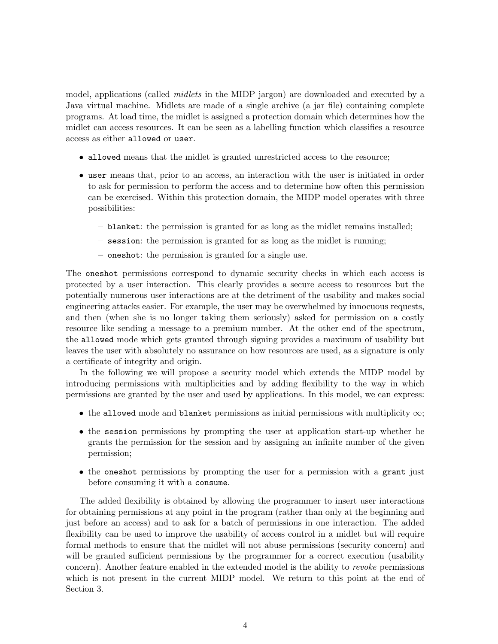model, applications (called *midlets* in the MIDP jargon) are downloaded and executed by a Java virtual machine. Midlets are made of a single archive (a jar file) containing complete programs. At load time, the midlet is assigned a protection domain which determines how the midlet can access resources. It can be seen as a labelling function which classifies a resource access as either allowed or user.

- allowed means that the midlet is granted unrestricted access to the resource;
- user means that, prior to an access, an interaction with the user is initiated in order to ask for permission to perform the access and to determine how often this permission can be exercised. Within this protection domain, the MIDP model operates with three possibilities:
	- **–** blanket: the permission is granted for as long as the midlet remains installed;
	- **–** session: the permission is granted for as long as the midlet is running;
	- **–** oneshot: the permission is granted for a single use.

The oneshot permissions correspond to dynamic security checks in which each access is protected by a user interaction. This clearly provides a secure access to resources but the potentially numerous user interactions are at the detriment of the usability and makes social engineering attacks easier. For example, the user may be overwhelmed by innocuous requests, and then (when she is no longer taking them seriously) asked for permission on a costly resource like sending a message to a premium number. At the other end of the spectrum, the allowed mode which gets granted through signing provides a maximum of usability but leaves the user with absolutely no assurance on how resources are used, as a signature is only a certificate of integrity and origin.

In the following we will propose a security model which extends the MIDP model by introducing permissions with multiplicities and by adding flexibility to the way in which permissions are granted by the user and used by applications. In this model, we can express:

- the allowed mode and blanket permissions as initial permissions with multiplicity  $\infty$ ;
- the session permissions by prompting the user at application start-up whether he grants the permission for the session and by assigning an infinite number of the given permission;
- the oneshot permissions by prompting the user for a permission with a grant just before consuming it with a consume.

The added flexibility is obtained by allowing the programmer to insert user interactions for obtaining permissions at any point in the program (rather than only at the beginning and just before an access) and to ask for a batch of permissions in one interaction. The added flexibility can be used to improve the usability of access control in a midlet but will require formal methods to ensure that the midlet will not abuse permissions (security concern) and will be granted sufficient permissions by the programmer for a correct execution (usability concern). Another feature enabled in the extended model is the ability to *revoke* permissions which is not present in the current MIDP model. We return to this point at the end of Section 3.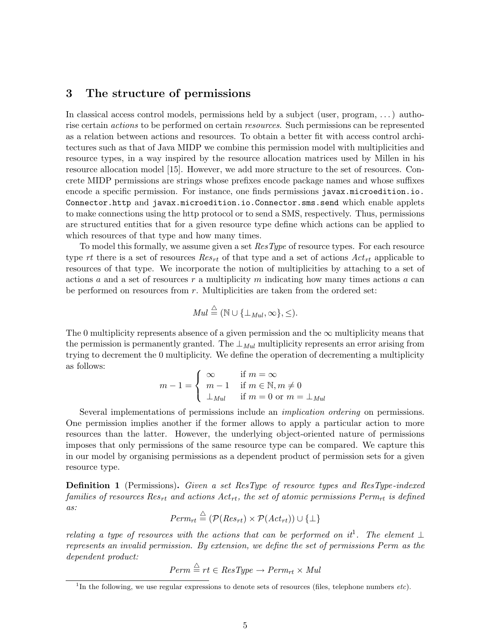# **3 The structure of permissions**

In classical access control models, permissions held by a subject (user, program, . . . ) authorise certain *actions* to be performed on certain *resources*. Such permissions can be represented as a relation between actions and resources. To obtain a better fit with access control architectures such as that of Java MIDP we combine this permission model with multiplicities and resource types, in a way inspired by the resource allocation matrices used by Millen in his resource allocation model [15]. However, we add more structure to the set of resources. Concrete MIDP permissions are strings whose prefixes encode package names and whose suffixes encode a specific permission. For instance, one finds permissions javax.microedition.io. Connector.http and javax.microedition.io.Connector.sms.send which enable applets to make connections using the http protocol or to send a SMS, respectively. Thus, permissions are structured entities that for a given resource type define which actions can be applied to which resources of that type and how many times.

To model this formally, we assume given a set ResType of resource types. For each resource type rt there is a set of resources  $Res_{rt}$  of that type and a set of actions  $Act_{rt}$  applicable to resources of that type. We incorporate the notion of multiplicities by attaching to a set of actions a and a set of resources r a multiplicity m indicating how many times actions a can be performed on resources from  $r$ . Multiplicities are taken from the ordered set:

$$
Mul \stackrel{\triangle}{=} (\mathbb{N} \cup \{\perp_{Mul}, \infty\}, \leq).
$$

The 0 multiplicity represents absence of a given permission and the  $\infty$  multiplicity means that the permission is permanently granted. The  $\perp_{Mul}$  multiplicity represents an error arising from trying to decrement the 0 multiplicity. We define the operation of decrementing a multiplicity as follows:

$$
m-1 = \begin{cases} \infty & \text{if } m = \infty \\ m-1 & \text{if } m \in \mathbb{N}, m \neq 0 \\ \perp_{Mul} & \text{if } m = 0 \text{ or } m = \perp_{Mul} \end{cases}
$$

Several implementations of permissions include an *implication ordering* on permissions. One permission implies another if the former allows to apply a particular action to more resources than the latter. However, the underlying object-oriented nature of permissions imposes that only permissions of the same resource type can be compared. We capture this in our model by organising permissions as a dependent product of permission sets for a given resource type.

**Definition 1** (Permissions)**.** *Given a set* ResType *of resource types and* ResType*-indexed families of resources*  $Res_{rt}$  *and actions*  $Act_{rt}$ *, the set of atomic permissions*  $Perm_{rt}$  *is defined as:*

$$
Perm_{rt} \stackrel{\triangle}{=} (\mathcal{P}(Res_{rt}) \times \mathcal{P}(Act_{rt})) \cup \{\perp\}
$$

*relating a type of resources with the actions that can be performed on it*<sup>1</sup>. The element  $\perp$ *represents an invalid permission. By extension, we define the set of permissions* Perm *as the dependent product:*

$$
Perm \stackrel{\triangle}{=} rt \in ResType \rightarrow Perm_{rt} \times Mul
$$

<sup>&</sup>lt;sup>1</sup>In the following, we use regular expressions to denote sets of resources (files, telephone numbers *etc*).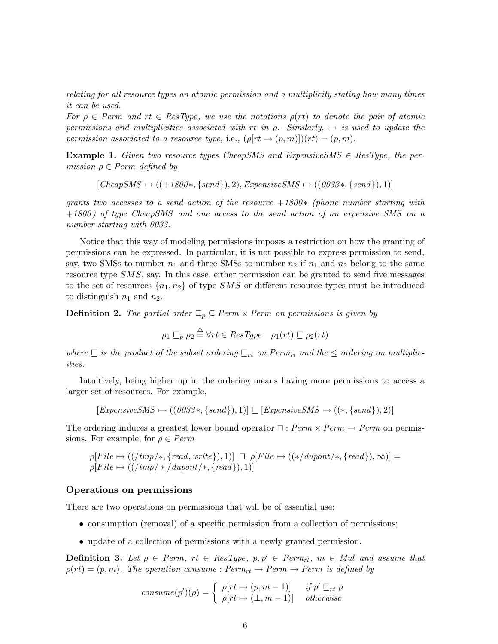*relating for all resource types an atomic permission and a multiplicity stating how many times it can be used.*

*For*  $\rho \in$  Perm and  $rt \in$  ResType, we use the notations  $\rho(rt)$  to denote the pair of atomic *permissions and multiplicities associated with*  $rt$  *in*  $\rho$ *. Similarly,*  $\mapsto$  *is used to update the permission associated to a resource type,* i.e.,  $(\rho [rt \rightarrow (p, m)])(rt) = (p, m)$ *.* 

**Example 1.** *Given two resource types CheapSMS and ExpensiveSMS*  $\in$  *ResType, the permission*  $\rho \in Perm$  *defined by* 

 $[CheapSMS \rightarrow ((+1800*, \{send\}), 2), ExpressiveSMS \rightarrow ((0033*, \{send\}), 1)]$ 

*grants two accesses to a send action of the resource* +1800\* *(phone number starting with* +1800 *) of type* CheapSMS *and one access to the send action of an expensive* SMS *on a number starting with 0033.*

Notice that this way of modeling permissions imposes a restriction on how the granting of permissions can be expressed. In particular, it is not possible to express permission to send, say, two SMSs to number  $n_1$  and three SMSs to number  $n_2$  if  $n_1$  and  $n_2$  belong to the same resource type SMS, say. In this case, either permission can be granted to send five messages to the set of resources  $\{n_1, n_2\}$  of type SMS or different resource types must be introduced to distinguish  $n_1$  and  $n_2$ .

**Definition 2.** *The partial order*  $\subseteq_p \subseteq \text{Perm} \times \text{Perm}$  *on permissions is given by* 

$$
\rho_1 \sqsubseteq_p \rho_2 \stackrel{\triangle}{=} \forall rt \in ResType \quad \rho_1(rt) \sqsubseteq \rho_2(rt)
$$

 $where ⊆ is the product of the subset ordering ⊆<sub>rt</sub> on Perm<sub>rt</sub> and the ≤ ordering on multiple$ *ities.*

Intuitively, being higher up in the ordering means having more permissions to access a larger set of resources. For example,

 $[Express we SMS \rightarrow ((0033*, \{send\}), 1)] \sqsubseteq [Expressive SMS \rightarrow ((*, \{send\}), 2)]$ 

The ordering induces a greatest lower bound operator  $\Box$ :  $Perm \times Perm \rightarrow Perm$  on permissions. For example, for  $\rho \in Perm$ 

$$
\rho[File \rightarrow ((/tmp/*, \{read, write\}), 1)] \sqcap \rho[File \rightarrow ((*/support/*, \{read\}), \infty)] = \rho[File \rightarrow ((/tmp/* /support/*, \{read\}), 1)]
$$

#### **Operations on permissions**

There are two operations on permissions that will be of essential use:

- consumption (removal) of a specific permission from a collection of permissions;
- update of a collection of permissions with a newly granted permission.

**Definition 3.** Let  $\rho \in Perm$ ,  $rt \in ResType$ ,  $p, p' \in Perm$ ,  $m \in Mul$  and assume that  $\rho(rt) = (p, m)$ . The operation consume :  $Perm_{rt} \rightarrow Perm \rightarrow Perm$  is defined by

$$
cosume(p')(\rho) = \begin{cases} \rho[rt \mapsto (p, m-1)] & \text{if } p' \sqsubseteq_{rt} p \\ \rho[rt \mapsto (\perp, m-1)] & \text{otherwise} \end{cases}
$$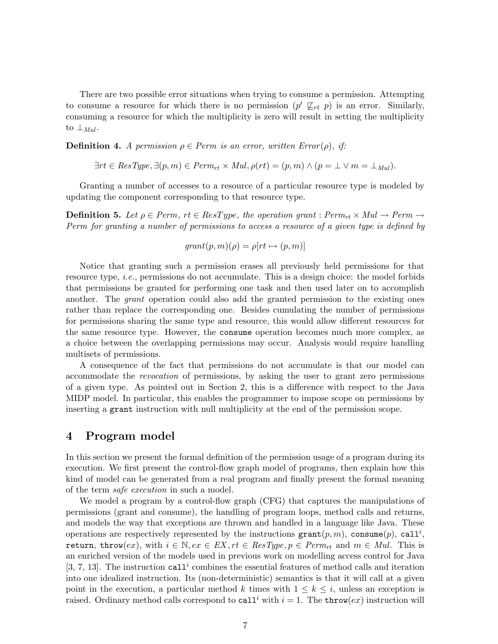There are two possible error situations when trying to consume a permission. Attempting to consume a resource for which there is no permission  $(p' \nsubseteq_{rt} p)$  is an error. Similarly, consuming a resource for which the multiplicity is zero will result in setting the multiplicity to  $\perp_{Mul}.$ 

**Definition 4.** *A permission*  $\rho \in Perm$  *is an error, written*  $Error(\rho)$ *, if:* 

$$
\exists rt \in ResType, \exists (p, m) \in Perm_{rt} \times Mul, \rho(rt) = (p, m) \land (p = \bot \lor m = \bot_{Mul}).
$$

Granting a number of accesses to a resource of a particular resource type is modeled by updating the component corresponding to that resource type.

**Definition 5.** Let  $\rho \in Perm$ ,  $rt \in ResType$ , the operation grant :  $Perm_{rt} \times Mul \rightarrow Perm$ Perm *for granting a number of permissions to access a resource of a given type is defined by*

$$
grant(p, m)(\rho) = \rho[rt \mapsto (p, m)]
$$

Notice that granting such a permission erases all previously held permissions for that resource type, *i.e.*, permissions do not accumulate. This is a design choice: the model forbids that permissions be granted for performing one task and then used later on to accomplish another. The *grant* operation could also add the granted permission to the existing ones rather than replace the corresponding one. Besides cumulating the number of permissions for permissions sharing the same type and resource, this would allow different resources for the same resource type. However, the consume operation becomes much more complex, as a choice between the overlapping permissions may occur. Analysis would require handling multisets of permissions.

A consequence of the fact that permissions do not accumulate is that our model can accommodate the *revocation* of permissions, by asking the user to grant zero permissions of a given type. As pointed out in Section 2, this is a difference with respect to the Java MIDP model. In particular, this enables the programmer to impose scope on permissions by inserting a grant instruction with null multiplicity at the end of the permission scope.

### **4 Program model**

In this section we present the formal definition of the permission usage of a program during its execution. We first present the control-flow graph model of programs, then explain how this kind of model can be generated from a real program and finally present the formal meaning of the term *safe execution* in such a model.

We model a program by a control-flow graph (CFG) that captures the manipulations of permissions (grant and consume), the handling of program loops, method calls and returns, and models the way that exceptions are thrown and handled in a language like Java. These operations are respectively represented by the instructions  $\texttt{grant}(p,m)$ ,  $\texttt{cosume}(p)$ ,  $\texttt{call}^i$ , return, throw $(ex)$ , with  $i \in \mathbb{N}$ ,  $ex \in EX$ ,  $rt \in ResType$ ,  $p \in Perm_{rt}$  and  $m \in Mul$ . This is an enriched version of the models used in previous work on modelling access control for Java [3, 7, 13]. The instruction call<sup>*i*</sup> combines the essential features of method calls and iteration into one idealized instruction. Its (non-deterministic) semantics is that it will call at a given point in the execution, a particular method k times with  $1 \leq k \leq i$ , unless an exception is raised. Ordinary method calls correspond to call<sup>i</sup> with  $i = 1$ . The throw(ex) instruction will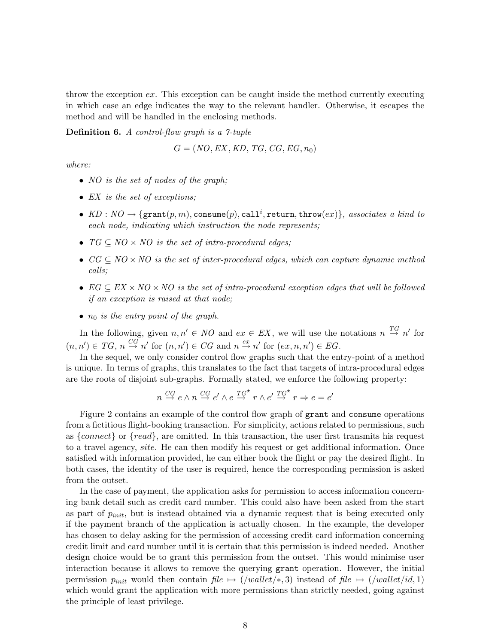throw the exception  $ex$ . This exception can be caught inside the method currently executing in which case an edge indicates the way to the relevant handler. Otherwise, it escapes the method and will be handled in the enclosing methods.

**Definition 6.** *A control-flow graph is a 7-tuple*

$$
G = (NO, EX, KD, TG, CG, EG, n_0)
$$

*where:*

- NO *is the set of nodes of the graph;*
- EX *is the set of exceptions;*
- $KD:NO \rightarrow \{\texttt{grant}(p,m), \texttt{cosume}(p), \texttt{call}^i, \texttt{return}, \texttt{throw}(ex)\},$  associates a kind to *each node, indicating which instruction the node represents;*
- TG ⊆ NO × NO *is the set of intra-procedural edges;*
- $CG \subseteq NO \times NO$  *is the set of inter-procedural edges, which can capture dynamic method calls;*
- EG ⊆ EX ×NO ×NO *is the set of intra-procedural exception edges that will be followed if an exception is raised at that node;*
- $n_0$  *is the entry point of the graph.*

In the following, given  $n, n' \in NO$  and  $ex \in EX$ , we will use the notations  $n \stackrel{TG}{\rightarrow} n'$  for  $(n, n') \in TG, n \stackrel{CG}{\to} n'$  for  $(n, n') \in CG$  and  $n \stackrel{ex}{\to} n'$  for  $(ex, n, n') \in EG$ .

In the sequel, we only consider control flow graphs such that the entry-point of a method is unique. In terms of graphs, this translates to the fact that targets of intra-procedural edges are the roots of disjoint sub-graphs. Formally stated, we enforce the following property:

$$
n \stackrel{CG}{\to} e \wedge n \stackrel{CG}{\to} e' \wedge e \stackrel{TG^{\star}}{\to} r \wedge e' \stackrel{TG^{\star}}{\to} r \Rightarrow e = e'
$$

Figure 2 contains an example of the control flow graph of grant and consume operations from a fictitious flight-booking transaction. For simplicity, actions related to permissions, such as  ${connect}$  or  ${read}$ , are omitted. In this transaction, the user first transmits his request to a travel agency, site. He can then modify his request or get additional information. Once satisfied with information provided, he can either book the flight or pay the desired flight. In both cases, the identity of the user is required, hence the corresponding permission is asked from the outset.

In the case of payment, the application asks for permission to access information concerning bank detail such as credit card number. This could also have been asked from the start as part of  $p_{init}$ , but is instead obtained via a dynamic request that is being executed only if the payment branch of the application is actually chosen. In the example, the developer has chosen to delay asking for the permission of accessing credit card information concerning credit limit and card number until it is certain that this permission is indeed needed. Another design choice would be to grant this permission from the outset. This would minimise user interaction because it allows to remove the querying grant operation. However, the initial permission  $p_{init}$  would then contain file  $\mapsto$  (/wallet/ $\ast$ , 3) instead of file  $\mapsto$  (/wallet/id, 1) which would grant the application with more permissions than strictly needed, going against the principle of least privilege.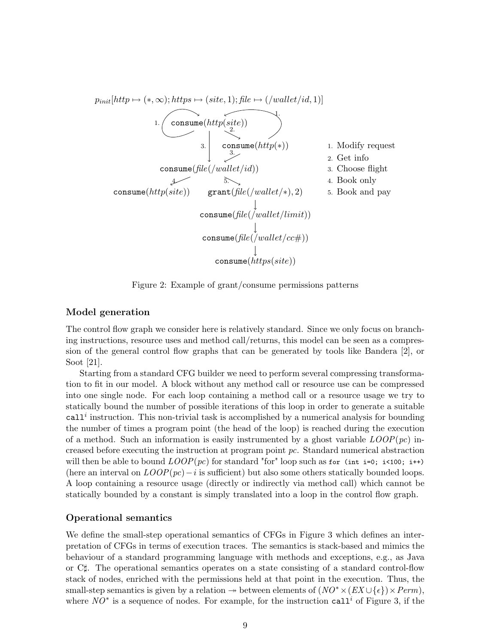

Figure 2: Example of grant/consume permissions patterns

#### **Model generation**

The control flow graph we consider here is relatively standard. Since we only focus on branching instructions, resource uses and method call/returns, this model can be seen as a compression of the general control flow graphs that can be generated by tools like Bandera [2], or Soot [21].

Starting from a standard CFG builder we need to perform several compressing transformation to fit in our model. A block without any method call or resource use can be compressed into one single node. For each loop containing a method call or a resource usage we try to statically bound the number of possible iterations of this loop in order to generate a suitable  $call<sup>i</sup> instruction. This non-trivial task is accomplished by a numerical analysis for bounding$ the number of times a program point (the head of the loop) is reached during the execution of a method. Such an information is easily instrumented by a ghost variable  $LOOP(pc)$  increased before executing the instruction at program point pc. Standard numerical abstraction will then be able to bound  $LOOP(pc)$  for standard "for" loop such as for (int i=0; i<100; i++) (here an interval on  $LOOP(pc) - i$  is sufficient) but also some others statically bounded loops. A loop containing a resource usage (directly or indirectly via method call) which cannot be statically bounded by a constant is simply translated into a loop in the control flow graph.

#### **Operational semantics**

We define the small-step operational semantics of CFGs in Figure 3 which defines an interpretation of CFGs in terms of execution traces. The semantics is stack-based and mimics the behaviour of a standard programming language with methods and exceptions, e.g., as Java or C♯. The operational semantics operates on a state consisting of a standard control-flow stack of nodes, enriched with the permissions held at that point in the execution. Thus, the small-step semantics is given by a relation  $\rightarrow$  between elements of  $(NO^* \times (EX \cup \{\epsilon\}) \times Perm)$ , where  $NO^*$  is a sequence of nodes. For example, for the instruction call<sup>i</sup> of Figure 3, if the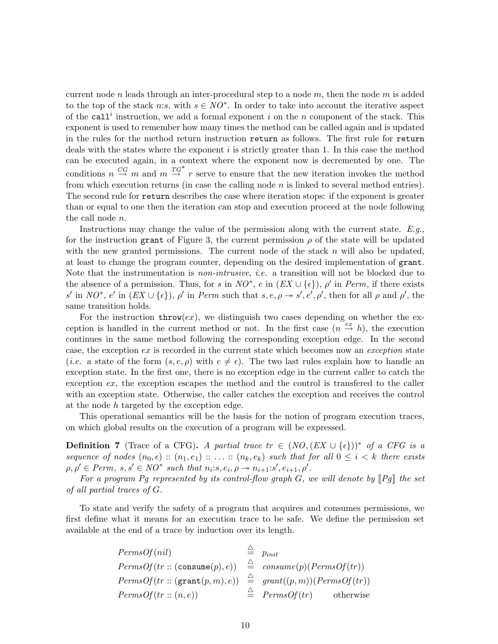current node n leads through an inter-procedural step to a node  $m$ , then the node  $m$  is added to the top of the stack n:s, with  $s \in NO^*$ . In order to take into account the iterative aspect of the call<sup>i</sup> instruction, we add a formal exponent i on the n component of the stack. This exponent is used to remember how many times the method can be called again and is updated in the rules for the method return instruction return as follows. The first rule for return deals with the states where the exponent  $i$  is strictly greater than 1. In this case the method can be executed again, in a context where the exponent now is decremented by one. The conditions  $n \stackrel{CG}{\rightarrow} m$  and  $m \stackrel{TG^*}{\rightarrow} r$  serve to ensure that the new iteration invokes the method from which execution returns (in case the calling node  $n$  is linked to several method entries). The second rule for return describes the case where iteration stops: if the exponent is greater than or equal to one then the iteration can stop and execution proceed at the node following the call node n.

Instructions may change the value of the permission along with the current state. *E.g.*, for the instruction grant of Figure 3, the current permission  $\rho$  of the state will be updated with the new granted permissions. The current node of the stack  $n$  will also be updated, at least to change the program counter, depending on the desired implementation of grant. Note that the instrumentation is *non-intrusive*, *i.e.* a transition will not be blocked due to the absence of a permission. Thus, for s in  $NO^*$ , e in  $(EX \cup \{\epsilon\})$ ,  $\rho'$  in Perm, if there exists s' in NO<sup>\*</sup>, e' in  $(EX \cup \{\epsilon\})$ ,  $\rho'$  in Perm such that  $s, e, \rho \rightarrow s', e', \rho'$ , then for all  $\rho$  and  $\rho'$ , the same transition holds.

For the instruction  $\text{throw}(ex)$ , we distinguish two cases depending on whether the exception is handled in the current method or not. In the first case  $(n \stackrel{ex}{\rightarrow} h)$ , the execution continues in the same method following the corresponding exception edge. In the second case, the exception ex is recorded in the current state which becomes now an *exception* state (*i.e.* a state of the form  $(s, e, \rho)$  with  $e \neq \epsilon$ ). The two last rules explain how to handle an exception state. In the first one, there is no exception edge in the current caller to catch the exception ex, the exception escapes the method and the control is transfered to the caller with an exception state. Otherwise, the caller catches the exception and receives the control at the node h targeted by the exception edge.

This operational semantics will be the basis for the notion of program execution traces, on which global results on the execution of a program will be expressed.

**Definition 7** (Trace of a CFG)**.** *A partial trace*  $tr \in (NO, (EX \cup {\epsilon}))^*$  *of a CFG is a sequence of nodes*  $(n_0, \epsilon) :: (n_1, e_1) :: ... :: (n_k, e_k)$  *such that for all*  $0 \leq i \leq k$  *there exists*  $\rho, \rho' \in Perm, s, s' \in NO^* \text{ such that } n_i : s, e_i, \rho \to n_{i+1} : s', e_{i+1}, \rho'.$ 

For a program Pg represented by its control-flow graph  $G$ , we will denote by  $\llbracket Pg \rrbracket$  the set *of all partial traces of* G*.*

To state and verify the safety of a program that acquires and consumes permissions, we first define what it means for an execution trace to be safe. We define the permission set available at the end of a trace by induction over its length.

| PermsOf(nil)                                                | $p_{init}$                              |
|-------------------------------------------------------------|-----------------------------------------|
| $PermsOf(tr::(cosume(p), e)) \cong consume(p)(PermsOf(tr))$ |                                         |
| PermsOf(tr::(grant(p,m), e))                                | $\hat{=}$ grant $((p, m))(PermsOf(tr))$ |
| PermsOf(tr::(n,e))                                          | $\triangleq$ PermsOf(tr)<br>otherwise   |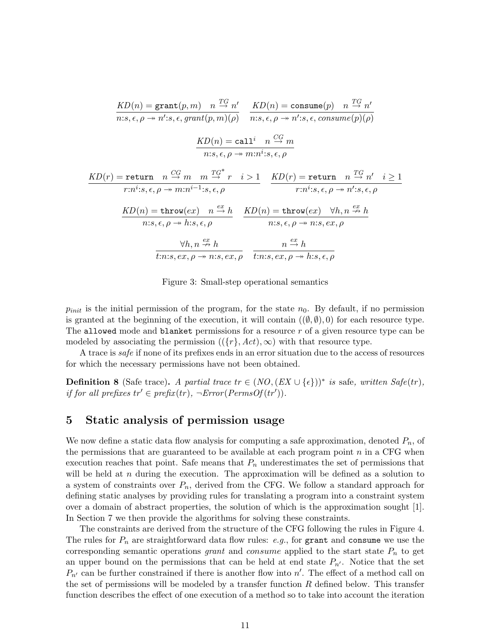$$
KD(n) = \text{grant}(p, m) \quad n \stackrel{TG}{\rightarrow} n'
$$
\n
$$
n: s, \epsilon, \rho \rightarrow n': s, \epsilon, grant(p, m)(\rho) \quad n: s, \epsilon, \rho \rightarrow n': s, \epsilon, consume(p)(\rho)
$$
\n
$$
KD(n) = \text{call} \quad n \stackrel{CG}{\rightarrow} m
$$
\n
$$
n: s, \epsilon, \rho \rightarrow m:n': s, \epsilon, \rho
$$
\n
$$
KD(r) = \text{return} \quad n \stackrel{CG}{\rightarrow} m \quad m \stackrel{TG^*}{\rightarrow} r \quad i > 1
$$
\n
$$
r: n^i: s, \epsilon, \rho \rightarrow m:n^{i-1}: s, \epsilon, \rho
$$
\n
$$
KD(n) = \text{throw}(ex) \quad n \stackrel{ex}{\rightarrow} h \quad \text{KD}(n) = \text{throw}(ex) \quad \forall h, n \stackrel{ex}{\rightarrow} h
$$
\n
$$
n: s, \epsilon, \rho \rightarrow h: s, \epsilon, \rho
$$
\n
$$
\forall h, n \stackrel{ex}{\rightarrow} h \quad m \stackrel{ex}{\rightarrow} h \quad n \stackrel{ex}{\rightarrow} h
$$
\n
$$
n: s, \epsilon, \rho \rightarrow n: s, \epsilon, \rho
$$
\n
$$
\forall h, n \stackrel{ex}{\rightarrow} h \quad n \stackrel{ex}{\rightarrow} h
$$
\n
$$
n: s, \epsilon, \rho \rightarrow n: s, \epsilon, \rho
$$
\n
$$
\frac{\forall h, n \stackrel{ex}{\rightarrow} h}{t: n: s, \epsilon, \rho \rightarrow n: s, \epsilon, \rho} \quad \frac{n \stackrel{ex}{\rightarrow} h}{t: n: s, \epsilon, \rho \rightarrow h: s, \epsilon, \rho}
$$

Figure 3: Small-step operational semantics

 $p_{init}$  is the initial permission of the program, for the state  $n_0$ . By default, if no permission is granted at the beginning of the execution, it will contain  $((\emptyset, \emptyset), 0)$  for each resource type. The allowed mode and blanket permissions for a resource  $r$  of a given resource type can be modeled by associating the permission  $({r}, Act), \infty)$  with that resource type.

A trace is *safe* if none of its prefixes ends in an error situation due to the access of resources for which the necessary permissions have not been obtained.

**Definition 8** (Safe trace). *A partial trace*  $tr \in (NO, (EX \cup \{\epsilon\}))^*$  *is* safe, written Safe(tr), *if for all prefixes*  $tr' \in prefix(tr)$ ,  $\neg Error(PermsOf(tr')$ .

## **5 Static analysis of permission usage**

We now define a static data flow analysis for computing a safe approximation, denoted  $P_n$ , of the permissions that are guaranteed to be available at each program point  $n$  in a CFG when execution reaches that point. Safe means that  $P_n$  underestimates the set of permissions that will be held at  $n$  during the execution. The approximation will be defined as a solution to a system of constraints over  $P_n$ , derived from the CFG. We follow a standard approach for defining static analyses by providing rules for translating a program into a constraint system over a domain of abstract properties, the solution of which is the approximation sought [1]. In Section 7 we then provide the algorithms for solving these constraints.

The constraints are derived from the structure of the CFG following the rules in Figure 4. The rules for  $P_n$  are straightforward data flow rules: *e.g.*, for grant and consume we use the corresponding semantic operations grant and consume applied to the start state  $P_n$  to get an upper bound on the permissions that can be held at end state  $P_{n'}$ . Notice that the set  $P_{n'}$  can be further constrained if there is another flow into  $n'$ . The effect of a method call on the set of permissions will be modeled by a transfer function  $R$  defined below. This transfer function describes the effect of one execution of a method so to take into account the iteration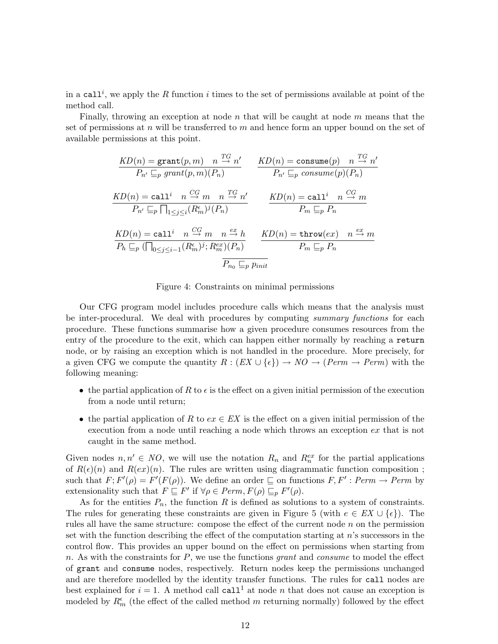in a call<sup>*i*</sup>, we apply the R function *i* times to the set of permissions available at point of the method call.

Finally, throwing an exception at node  $n$  that will be caught at node  $m$  means that the set of permissions at n will be transferred to m and hence form an upper bound on the set of available permissions at this point.

$$
\frac{KD(n) = \text{grant}(p, m) \quad n \stackrel{TG}{\rightarrow} n'}{P_{n'} \sqsubseteq_p \text{ grant}(p, m)(P_n)} \qquad \frac{KD(n) = \text{consume}(p) \quad n \stackrel{TG}{\rightarrow} n'}{P_{n'} \sqsubseteq_p \text{ consume}(p)(P_n)}
$$
\n
$$
\frac{KD(n) = \text{call}^i \quad n \stackrel{CG}{\rightarrow} m \quad n \stackrel{TG}{\rightarrow} n'}{P_{n'} \sqsubseteq_p \sqcap_{1 \le j \le i} (R_m^{\epsilon})^j(P_n)} \qquad \frac{KD(n) = \text{call}^i \quad n \stackrel{CG}{\rightarrow} m}{P_m \sqsubseteq_p P_n}
$$
\n
$$
\frac{KD(n) = \text{call}^i \quad n \stackrel{CG}{\rightarrow} m \quad n \stackrel{ex}{\rightarrow} h}{P_h \sqsubseteq_p \text{Theorem}(ex)} \quad n \stackrel{ex}{\rightarrow} m}{P_h \sqsubseteq_p P_n}
$$
\n
$$
\frac{KD(n) = \text{call}^i \quad n \stackrel{CG}{\rightarrow} m \quad n \stackrel{ex}{\rightarrow} h}{P_{n_0} \sqsubseteq_p p_{init}}
$$

Figure 4: Constraints on minimal permissions

Our CFG program model includes procedure calls which means that the analysis must be inter-procedural. We deal with procedures by computing *summary functions* for each procedure. These functions summarise how a given procedure consumes resources from the entry of the procedure to the exit, which can happen either normally by reaching a return node, or by raising an exception which is not handled in the procedure. More precisely, for a given CFG we compute the quantity  $R : (EX \cup \{\epsilon\}) \to NO \to (Perm \to Perm)$  with the following meaning:

- the partial application of R to  $\epsilon$  is the effect on a given initial permission of the execution from a node until return;
- the partial application of R to  $ex \in EX$  is the effect on a given initial permission of the execution from a node until reaching a node which throws an exception ex that is not caught in the same method.

Given nodes  $n, n' \in NO$ , we will use the notation  $R_n$  and  $R_n^{ex}$  for the partial applications of  $R(\epsilon)(n)$  and  $R(ex)(n)$ . The rules are written using diagrammatic function composition; such that  $F$ ;  $F'(\rho) = F'(F(\rho))$ . We define an order  $\sqsubseteq$  on functions  $F, F' : Perm \to Perm$  by extensionality such that  $F \subseteq F'$  if  $\forall \rho \in Perm, F(\rho) \subseteq_p F'(\rho)$ .

As for the entities  $P_n$ , the function R is defined as solutions to a system of constraints. The rules for generating these constraints are given in Figure 5 (with  $e \in EX \cup \{\epsilon\}$ ). The rules all have the same structure: compose the effect of the current node  $n$  on the permission set with the function describing the effect of the computation starting at n's successors in the control flow. This provides an upper bound on the effect on permissions when starting from n. As with the constraints for  $P$ , we use the functions grant and consume to model the effect of grant and consume nodes, respectively. Return nodes keep the permissions unchanged and are therefore modelled by the identity transfer functions. The rules for call nodes are best explained for  $i = 1$ . A method call call<sup>1</sup> at node *n* that does not cause an exception is modeled by  $R_m^{\epsilon}$  (the effect of the called method m returning normally) followed by the effect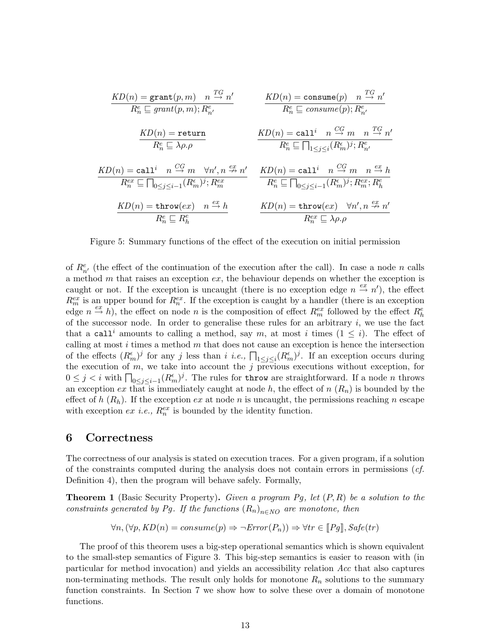$$
\frac{KD(n) = \text{grant}(p, m) \quad n \stackrel{TG}{\rightarrow} n'}{R_n^e \sqsubseteq grant(p, m); R_{n'}^e} \qquad \frac{KD(n) = \text{consume}(p) \quad n \stackrel{TG}{\rightarrow} n'}{R_n^e \sqsubseteq \text{ consume}(p); R_{n'}^e}
$$
\n
$$
\frac{KD(n) = \text{return}}{R_n^e \sqsubseteq \lambda \rho. \rho} \qquad \frac{KD(n) = \text{call}^i \quad n \stackrel{CG}{\rightarrow} m \quad n \stackrel{TG}{\rightarrow} n'}{R_n^e \sqsubseteq \prod_{1 \le j \le i} (R_m^e)^j; R_{n'}^e}
$$
\n
$$
\frac{KD(n) = \text{call}^i \quad n \stackrel{CG}{\rightarrow} m \quad \forall n', n \stackrel{ex}{\rightarrow} n'}{R_n^e \sqsubseteq \prod_{0 \le j \le i-1} (R_m^e)^j; R_{n'}^e}
$$
\n
$$
\frac{KD(n) = \text{chunk}(R_m^e)^j; R_m^{ex}}{R_n^e \sqsubseteq \prod_{0 \le j \le i-1} (R_m^e)^j; R_m^{ex}; R_h^e}
$$
\n
$$
\frac{KD(n) = \text{throw}(ex) \quad n \stackrel{ex}{\rightarrow} h}{R_n^e \sqsubseteq R_h^e} \qquad \frac{KD(n) = \text{throw}(ex) \quad \forall n', n \stackrel{ex}{\rightarrow} n'}{R_n^{ex} \sqsubseteq \lambda \rho. \rho}
$$

Figure 5: Summary functions of the effect of the execution on initial permission

of  $R_{n'}^e$  (the effect of the continuation of the execution after the call). In case a node n calls a method m that raises an exception  $ex$ , the behaviour depends on whether the exception is caught or not. If the exception is uncaught (there is no exception edge  $n \stackrel{ex}{\rightarrow} n'$ ), the effect  $R_m^{ex}$  is an upper bound for  $R_n^{ex}$ . If the exception is caught by a handler (there is an exception edge  $n \stackrel{ex}{\to} h$ , the effect on node n is the composition of effect  $R_m^{ex}$  followed by the effect  $R_h^e$ of the successor node. In order to generalise these rules for an arbitrary  $i$ , we use the fact that a call<sup>i</sup> amounts to calling a method, say m, at most i times  $(1 \leq i)$ . The effect of calling at most  $i$  times a method  $m$  that does not cause an exception is hence the intersection of the effects  $(R_m^{\epsilon})^j$  for any j less than i i.e.,  $\prod_{1 \leq j \leq i} (R_m^{\epsilon})^j$ . If an exception occurs during the execution of  $m$ , we take into account the  $j$  previous executions without exception, for  $0 \leq j < i$  with  $\prod_{0 \leq j \leq i-1} (R_m^{\epsilon})^j$ . The rules for throw are straightforward. If a node *n* throws an exception ex that is immediately caught at node h, the effect of  $n(R_n)$  is bounded by the effect of h  $(R_h)$ . If the exception ex at node n is uncaught, the permissions reaching n escape with exception  $ex$  *i.e.*,  $R_n^{ex}$  is bounded by the identity function.

### **6 Correctness**

The correctness of our analysis is stated on execution traces. For a given program, if a solution of the constraints computed during the analysis does not contain errors in permissions (*cf.* Definition 4), then the program will behave safely. Formally,

**Theorem 1** (Basic Security Property)**.** *Given a program* Pg*, let* (P, R) *be a solution to the constraints generated by Pg. If the functions*  $(R_n)_{n \in \text{NO}}$  *are monotone, then* 

$$
\forall n, (\forall p, KD(n) = consume(p) \Rightarrow \neg Error(P_n)) \Rightarrow \forall tr \in [Pg], Safe(tr)
$$

The proof of this theorem uses a big-step operational semantics which is shown equivalent to the small-step semantics of Figure 3. This big-step semantics is easier to reason with (in particular for method invocation) and yields an accessibility relation Acc that also captures non-terminating methods. The result only holds for monotone  $R_n$  solutions to the summary function constraints. In Section 7 we show how to solve these over a domain of monotone functions.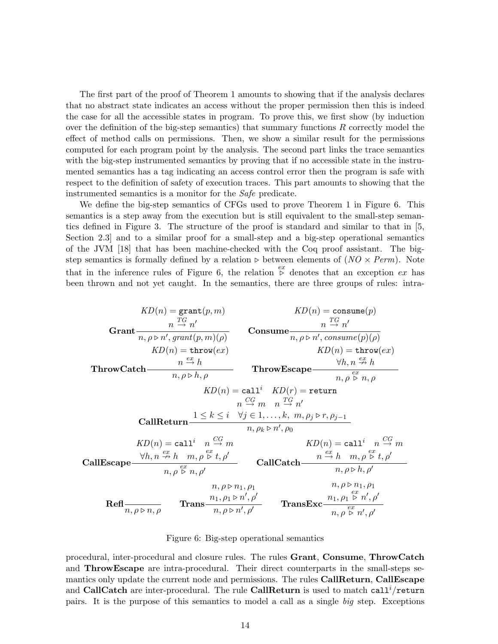The first part of the proof of Theorem 1 amounts to showing that if the analysis declares that no abstract state indicates an access without the proper permission then this is indeed the case for all the accessible states in program. To prove this, we first show (by induction over the definition of the big-step semantics) that summary functions  $R$  correctly model the effect of method calls on permissions. Then, we show a similar result for the permissions computed for each program point by the analysis. The second part links the trace semantics with the big-step instrumented semantics by proving that if no accessible state in the instrumented semantics has a tag indicating an access control error then the program is safe with respect to the definition of safety of execution traces. This part amounts to showing that the instrumented semantics is a monitor for the Safe predicate.

We define the big-step semantics of CFGs used to prove Theorem 1 in Figure 6. This semantics is a step away from the execution but is still equivalent to the small-step semantics defined in Figure 3. The structure of the proof is standard and similar to that in [5, Section 2.3] and to a similar proof for a small-step and a big-step operational semantics of the JVM [18] that has been machine-checked with the Coq proof assistant. The bigstep semantics is formally defined by a relation ⊳ between elements of  $(NO \times Perm)$ . Note that in the inference rules of Figure 6, the relation  $\stackrel{ex}{\triangleright}$  denotes that an exception ex has been thrown and not yet caught. In the semantics, there are three groups of rules: intra-

Grant KD(n) = grant(p, m) n TG<sup>→</sup> <sup>n</sup> ′ n, ρ ⊲ n′ , grant(p, m)(ρ) Consume KD(n) = consume(p) n TG<sup>→</sup> <sup>n</sup> ′ n, ρ ⊲ n′ , consume(p)(ρ) ThrowCatch KD(n) = throw(ex) n ex→ h n, ρ ⊲ h, ρ ThrowEscape KD(n) = throw(ex) ∀h, n ex9 h n, ρ ex ⊲ n, ρ CallReturn KD(n) = call<sup>i</sup> KD(r) = return n CG<sup>→</sup> m n TG<sup>→</sup> <sup>n</sup> ′ 1 ≤ k ≤ i ∀j ∈ 1, . . . , k, m, ρ<sup>j</sup> ⊲ r, ρj−<sup>1</sup> n, ρ<sup>k</sup> ⊲ n′ , ρ<sup>0</sup> CallEscape KD(n) = call<sup>i</sup> n CG<sup>→</sup> <sup>m</sup> <sup>∀</sup>h, n ex<sup>9</sup> h m, ρ ex ⊲ t, ρ′ n, ρ ex ⊲ n, ρ′ CallCatch KD(n) = call<sup>i</sup> n CG<sup>→</sup> <sup>m</sup> n ex<sup>→</sup> h m, ρ ex ⊲ t, ρ′ n, ρ ⊲ h, ρ′ Refl n, ρ ⊲ n, ρ Trans n, ρ ⊲ n1, ρ<sup>1</sup> n1, ρ<sup>1</sup> ⊲ n′ , ρ′ n, ρ ⊲ n′ , ρ′ TransExc n, ρ ⊲ n1, ρ<sup>1</sup> n1, ρ<sup>1</sup> ex ⊲ n′ , ρ′ n, ρ ex ⊲ n′ , ρ′

Figure 6: Big-step operational semantics

procedural, inter-procedural and closure rules. The rules Grant, Consume, ThrowCatch and ThrowEscape are intra-procedural. Their direct counterparts in the small-steps semantics only update the current node and permissions. The rules **CallReturn, CallEscape** and CallCatch are inter-procedural. The rule CallReturn is used to match call<sup> $i$ </sup>/return pairs. It is the purpose of this semantics to model a call as a single *big* step. Exceptions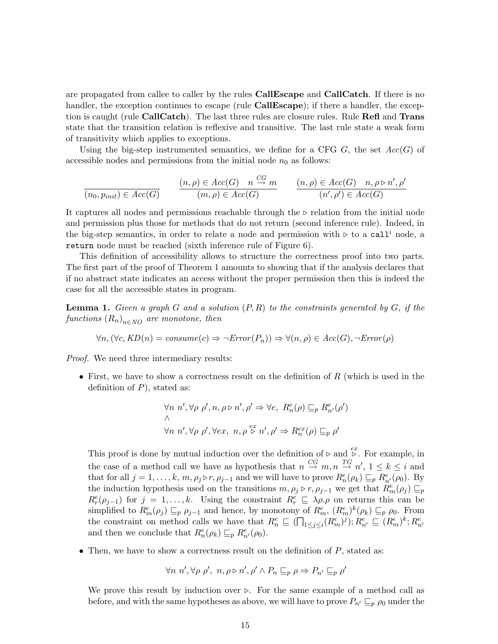are propagated from callee to caller by the rules CallEscape and CallCatch. If there is no handler, the exception continues to escape (rule **CallEscape**); if there a handler, the exception is caught (rule CallCatch). The last three rules are closure rules. Rule Refl and Trans state that the transition relation is reflexive and transitive. The last rule state a weak form of transitivity which applies to exceptions.

Using the big-step instrumented semantics, we define for a CFG G, the set  $Acc(G)$  of accessible nodes and permissions from the initial node  $n_0$  as follows:

$$
\frac{(n, \rho) \in Acc(G)}{(n_0, p_{init}) \in Acc(G)} \qquad \frac{(n, \rho) \in Acc(G) \quad n \stackrel{CG}{\to} m}{(m, \rho) \in Acc(G)} \qquad \frac{(n, \rho) \in Acc(G) \quad n, \rho \triangleright n', \rho'}{(n', \rho') \in Acc(G)}
$$

It captures all nodes and permissions reachable through the ⊲ relation from the initial node and permission plus those for methods that do not return (second inference rule). Indeed, in the big-step semantics, in order to relate a node and permission with ⊳ to a call<sup>'</sup> node, a return node must be reached (sixth inference rule of Figure 6).

This definition of accessibility allows to structure the correctness proof into two parts. The first part of the proof of Theorem 1 amounts to showing that if the analysis declares that if no abstract state indicates an access without the proper permission then this is indeed the case for all the accessible states in program.

**Lemma 1.** *Given a graph* G *and a solution* (P, R) *to the constraints generated by* G*, if the*  $functions (R_n)_{n \in NO}$  are monotone, then

$$
\forall n, (\forall c, KD(n) = consume(c) \Rightarrow \neg Error(P_n)) \Rightarrow \forall (n, \rho) \in Acc(G), \neg Error(\rho)
$$

*Proof.* We need three intermediary results:

• First, we have to show a correctness result on the definition of  $R$  (which is used in the definition of  $P$ ), stated as:

$$
\forall n \ n', \forall \rho \ \rho', n, \rho \triangleright n', \rho' \Rightarrow \forall e, \ R_n^e(\rho) \sqsubseteq_p R_{n'}^e(\rho')
$$
  

$$
\wedge
$$
  

$$
\forall n \ n', \forall \rho \ \rho', \forall ex, \ n, \rho \stackrel{ex}{\triangleright} n', \rho' \Rightarrow R_n^{ex}(\rho) \sqsubseteq_p \rho'
$$

This proof is done by mutual induction over the definition of ⊳ and  $\stackrel{ex}{\triangleright}$ . For example, in the case of a method call we have as hypothesis that  $n \stackrel{CG}{\to} m, n \stackrel{TG}{\to} n', 1 \leq k \leq i$  and that for all  $j = 1, \ldots, k, m, \rho_j \triangleright r, \rho_{j-1}$  and we will have to prove  $R_n^e(\rho_k) \sqsubseteq_p R_{n'}^e(\rho_0)$ . By the induction hypothesis used on the transitions  $m, \rho_j \triangleright r, \rho_{j-1}$  we get that  $R_m^e(\rho_j) \sqsubseteq_p p$  $R_r^e(\rho_{j-1})$  for  $j = 1, \ldots, k$ . Using the constraint  $R_r^e \subseteq \lambda \rho \rho$  on returns this can be simplified to  $R_m^e(\rho_j) \sqsubseteq_p \rho_{j-1}$  and hence, by monotony of  $R_m^e$ ,  $(R_m^e)^k(\rho_k) \sqsubseteq_p \rho_0$ . From the constraint on method calls we have that  $R_n^e \nsubseteq (\prod_{1 \leq j \leq i} (R_m^{\epsilon})^j); R_{n'}^e \nsubseteq (R_m^{\epsilon})^k; R_{n'}^e$ and then we conclude that  $R_n^e(\rho_k) \sqsubseteq_p R_{n'}^e(\rho_0)$ .

• Then, we have to show a correctness result on the definition of  $P$ , stated as:

$$
\forall n \; n', \forall \rho \; \rho', \; n, \rho \triangleright n', \rho' \land P_n \sqsubseteq_p \rho \Rightarrow P_{n'} \sqsubseteq_p \rho'
$$

We prove this result by induction over  $\triangleright$ . For the same example of a method call as before, and with the same hypotheses as above, we will have to prove  $P_{n'} \sqsubseteq_p \rho_0$  under the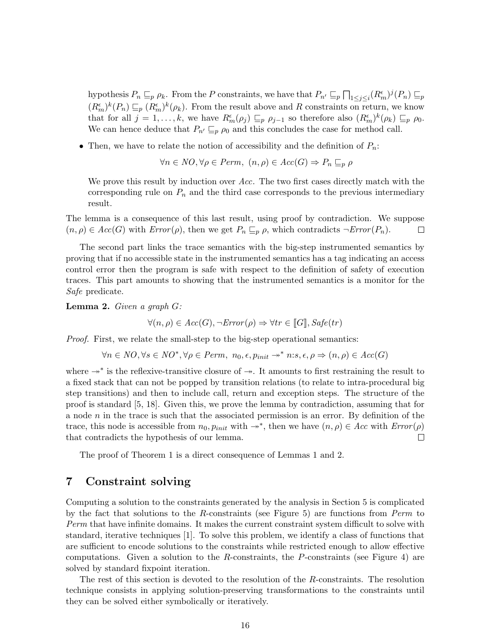hypothesis  $P_n \sqsubseteq_p \rho_k$ . From the P constraints, we have that  $P_{n'} \sqsubseteq_p \bigcap_{1 \leq j \leq i} (R_m^{\epsilon})^j(P_n) \sqsubseteq_p$  $(R_m^{\epsilon})^k(P_n) \sqsubseteq_p (R_m^{\epsilon})^k(\rho_k)$ . From the result above and R constraints on return, we know that for all  $j = 1, ..., k$ , we have  $R_m^{\epsilon}(\rho_j) \sqsubseteq_p \rho_{j-1}$  so therefore also  $(R_m^{\epsilon})^k(\rho_k) \sqsubseteq_p \rho_0$ . We can hence deduce that  $P_{n'} \sqsubseteq_p \rho_0$  and this concludes the case for method call.

• Then, we have to relate the notion of accessibility and the definition of  $P_n$ :

 $\forall n \in \mathit{NO}, \forall \rho \in \mathit{Perm}, \ (n, \rho) \in \mathit{Acc}(G) \Rightarrow P_n \sqsubseteq_n \rho$ 

We prove this result by induction over  $Acc$ . The two first cases directly match with the corresponding rule on  $P_n$  and the third case corresponds to the previous intermediary result.

The lemma is a consequence of this last result, using proof by contradiction. We suppose  $(n, \rho) \in Acc(G)$  with  $Error(\rho)$ , then we get  $P_n \sqsubseteq_p \rho$ , which contradicts  $\neg Error(P_n)$ .  $\Box$ 

The second part links the trace semantics with the big-step instrumented semantics by proving that if no accessible state in the instrumented semantics has a tag indicating an access control error then the program is safe with respect to the definition of safety of execution traces. This part amounts to showing that the instrumented semantics is a monitor for the Safe predicate.

**Lemma 2.** *Given a graph* G*:*

$$
\forall (n, \rho) \in Acc(G), \neg Error(\rho) \Rightarrow \forall tr \in [G], Safe(tr)
$$

*Proof.* First, we relate the small-step to the big-step operational semantics:

$$
\forall n \in NO, \forall s \in NO^*, \forall \rho \in Perm, \ n_0, \epsilon, p_{init} \rightarrow^* n: s, \epsilon, \rho \Rightarrow (n, \rho) \in Acc(G)
$$

where →\* is the reflexive-transitive closure of →. It amounts to first restraining the result to a fixed stack that can not be popped by transition relations (to relate to intra-procedural big step transitions) and then to include call, return and exception steps. The structure of the proof is standard [5, 18]. Given this, we prove the lemma by contradiction, assuming that for a node n in the trace is such that the associated permission is an error. By definition of the trace, this node is accessible from  $n_0, p_{init}$  with  $\rightarrow^*$ , then we have  $(n, \rho) \in Acc$  with  $Error(\rho)$ that contradicts the hypothesis of our lemma.  $\Box$ 

The proof of Theorem 1 is a direct consequence of Lemmas 1 and 2.

## **7 Constraint solving**

Computing a solution to the constraints generated by the analysis in Section 5 is complicated by the fact that solutions to the R-constraints (see Figure 5) are functions from  $Perm$  to Perm that have infinite domains. It makes the current constraint system difficult to solve with standard, iterative techniques [1]. To solve this problem, we identify a class of functions that are sufficient to encode solutions to the constraints while restricted enough to allow effective computations. Given a solution to the R-constraints, the P-constraints (see Figure 4) are solved by standard fixpoint iteration.

The rest of this section is devoted to the resolution of the R-constraints. The resolution technique consists in applying solution-preserving transformations to the constraints until they can be solved either symbolically or iteratively.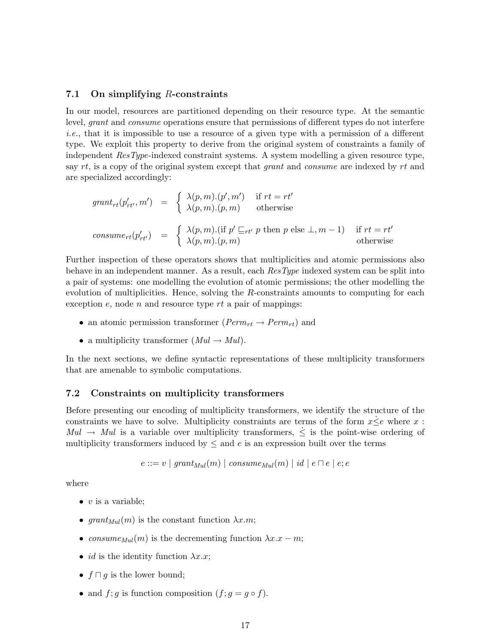#### **7.1 On simplifying** R**-constraints**

In our model, resources are partitioned depending on their resource type. At the semantic level, grant and consume operations ensure that permissions of different types do not interfere *i.e.*, that it is impossible to use a resource of a given type with a permission of a different type. We exploit this property to derive from the original system of constraints a family of independent ResType-indexed constraint systems. A system modelling a given resource type, say  $rt$ , is a copy of the original system except that *grant* and *consume* are indexed by  $rt$  and are specialized accordingly:

$$
grant_{rt}(p'_{rt'}, m') = \begin{cases} \lambda(p, m) \cdot (p', m') & \text{if } rt = rt' \\ \lambda(p, m) \cdot (p, m) & \text{otherwise} \end{cases}
$$
  

$$
cosume_{rt}(p'_{rt'}) = \begin{cases} \lambda(p, m) \cdot (\text{if } p' \sqsubseteq_{rt'} p \text{ then } p \text{ else } \bot, m - 1) & \text{if } rt = rt' \\ \lambda(p, m) \cdot (p, m) & \text{otherwise} \end{cases}
$$

Further inspection of these operators shows that multiplicities and atomic permissions also behave in an independent manner. As a result, each ResType indexed system can be split into a pair of systems: one modelling the evolution of atomic permissions; the other modelling the evolution of multiplicities. Hence, solving the R-constraints amounts to computing for each exception  $e$ , node  $n$  and resource type  $rt$  a pair of mappings:

- an atomic permission transformer ( $Perm_{rt} \rightarrow Perm_{rt}$ ) and
- a multiplicity transformer  $(Mul \rightarrow Mul)$ .

In the next sections, we define syntactic representations of these multiplicity transformers that are amenable to symbolic computations.

#### **7.2 Constraints on multiplicity transformers**

Before presenting our encoding of multiplicity transformers, we identify the structure of the constraints we have to solve. Multiplicity constraints are terms of the form  $x \leq e$  where x:  $Mul \rightarrow Mul$  is a variable over multiplicity transformers,  $\leq$  is the point-wise ordering of multiplicity transformers induced by  $\leq$  and e is an expression built over the terms

$$
e ::= v \mid grant_{Mul}(m) \mid consume_{Mul}(m) \mid id \mid e \sqcap e \mid e; e
$$

where

- $v$  is a variable;
- $grant_{Mul}(m)$  is the constant function  $\lambda x.m;$
- consume<sub>Mul</sub> $(m)$  is the decrementing function  $\lambda x.x m$ ;
- *id* is the identity function  $\lambda x.x$ ;
- $f \sqcap g$  is the lower bound;
- and  $f$ ;  $g$  is function composition  $(f; g = g \circ f)$ .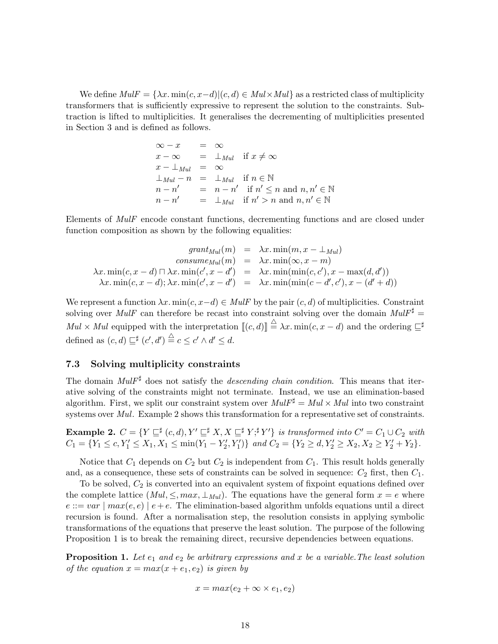We define  $Mult = {\lambda x . min(c, x-d)|(c, d) \in Mult \times Mul}$  as a restricted class of multiplicity transformers that is sufficiently expressive to represent the solution to the constraints. Subtraction is lifted to multiplicities. It generalises the decrementing of multiplicities presented in Section 3 and is defined as follows.

$$
\begin{array}{rcl}\n\infty - x & = & \infty \\
x - \infty & = & \perp_{Mul} \quad \text{if } x \neq \infty \\
x - \perp_{Mul} & = & \infty \\
\perp_{Mul} - n & = & \perp_{Mul} \quad \text{if } n \in \mathbb{N} \\
n - n' & = & n - n' \quad \text{if } n' \leq n \text{ and } n, n' \in \mathbb{N} \\
n - n' & = & \perp_{Mul} \quad \text{if } n' > n \text{ and } n, n' \in \mathbb{N}\n\end{array}
$$

Elements of MulF encode constant functions, decrementing functions and are closed under function composition as shown by the following equalities:

$$
grant_{Mul}(m) = \lambda x. \min(m, x - \bot_{Mul})
$$
  
\n
$$
cossum_{Mul}(m) = \lambda x. \min(\infty, x - m)
$$
  
\n
$$
\lambda x. \min(c, x - d) \sqcap \lambda x. \min(c', x - d') = \lambda x. \min(\min(c, c'), x - \max(d, d'))
$$
  
\n
$$
\lambda x. \min(c, x - d); \lambda x. \min(c', x - d') = \lambda x. \min(\min(c - d', c'), x - (d' + d))
$$

We represent a function  $\lambda x$ . min $(c, x-d) \in \text{Mult}$  by the pair  $(c, d)$  of multiplicities. Constraint solving over MulF can therefore be recast into constraint solving over the domain  $Mult^{\sharp} =$  $Mul \times Mul$  equipped with the interpretation  $[[ (c, d) ]] \stackrel{\triangle}{=} \lambda x$ . min $(c, x - d)$  and the ordering  $\sqsubseteq^{\sharp}$ defined as  $(c, d) \sqsubseteq^{\sharp} (c', d') \stackrel{\triangle}{=} c \leq c' \wedge d' \leq d$ .

#### **7.3 Solving multiplicity constraints**

The domain MulF<sup>♯</sup> does not satisfy the *descending chain condition*. This means that iterative solving of the constraints might not terminate. Instead, we use an elimination-based algorithm. First, we split our constraint system over  $Mult^{\sharp} = Mul \times Mul$  into two constraint systems over *Mul.* Example 2 shows this transformation for a representative set of constraints.

**Example 2.**  $C = \{ Y \sqsubseteq^{\sharp} (c,d), Y' \sqsubseteq^{\sharp} X, X \sqsubseteq^{\sharp} Y;^{\sharp} Y' \}$  *is transformed into*  $C' = C_1 \cup C_2$  *with*  $C_1 = \{Y_1 \leq c, Y_1' \leq X_1, X_1 \leq \min(Y_1 - Y_2', Y_1')\}$  and  $C_2 = \{Y_2 \geq d, Y_2' \geq X_2, X_2 \geq Y_2' + Y_2\}.$ 

Notice that  $C_1$  depends on  $C_2$  but  $C_2$  is independent from  $C_1$ . This result holds generally and, as a consequence, these sets of constraints can be solved in sequence:  $C_2$  first, then  $C_1$ .

To be solved,  $C_2$  is converted into an equivalent system of fixpoint equations defined over the complete lattice  $(Mul, \leq, max, \perp_{Mul})$ . The equations have the general form  $x = e$  where  $e ::= var \mid max(e, e) \mid e + e$ . The elimination-based algorithm unfolds equations until a direct recursion is found. After a normalisation step, the resolution consists in applying symbolic transformations of the equations that preserve the least solution. The purpose of the following Proposition 1 is to break the remaining direct, recursive dependencies between equations.

**Proposition 1.** Let  $e_1$  and  $e_2$  be arbitrary expressions and x be a variable. The least solution *of the equation*  $x = max(x + e_1, e_2)$  *is given by* 

$$
x = max(e_2 + \infty \times e_1, e_2)
$$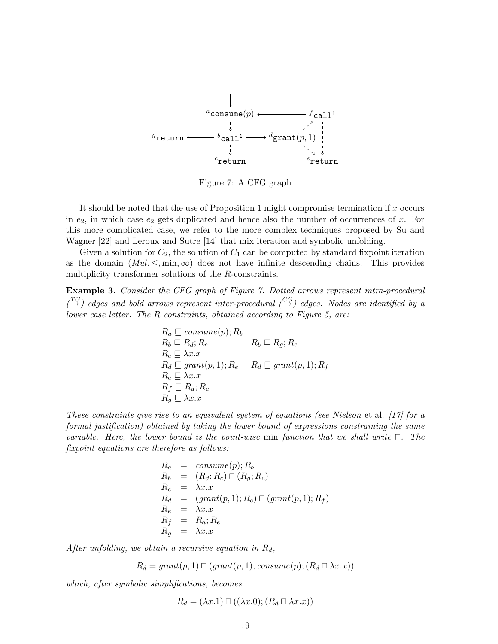

Figure 7: A CFG graph

It should be noted that the use of Proposition 1 might compromise termination if  $x$  occurs in  $e_2$ , in which case  $e_2$  gets duplicated and hence also the number of occurrences of x. For this more complicated case, we refer to the more complex techniques proposed by Su and Wagner [22] and Leroux and Sutre [14] that mix iteration and symbolic unfolding.

Given a solution for  $C_2$ , the solution of  $C_1$  can be computed by standard fixpoint iteration as the domain  $(Mul, \leq, min, \infty)$  does not have infinite descending chains. This provides multiplicity transformer solutions of the R-constraints.

**Example 3.** *Consider the CFG graph of Figure 7. Dotted arrows represent intra-procedural*  $\binom{TG}{\rightarrow}$  edges and bold arrows represent inter-procedural  $\binom{CG}{\rightarrow}$  edges. Nodes are identified by a *lower case letter. The* R *constraints, obtained according to Figure 5, are:*

$$
R_a \subseteq \text{consume}(p); R_b
$$
  
\n
$$
R_b \subseteq R_d; R_c \qquad R_b \subseteq R_g; R_c
$$
  
\n
$$
R_c \subseteq \lambda x.x
$$
  
\n
$$
R_d \subseteq \text{grant}(p, 1); R_e \qquad R_d \subseteq \text{grant}(p, 1); R_f
$$
  
\n
$$
R_e \subseteq \lambda x.x
$$
  
\n
$$
R_f \subseteq R_a; R_e
$$
  
\n
$$
R_g \subseteq \lambda x.x
$$

*These constraints give rise to an equivalent system of equations (see Nielson* et al. *[17] for a formal justification) obtained by taking the lower bound of expressions constraining the same variable. Here, the lower bound is the point-wise* min *function that we shall write* ⊓*. The fixpoint equations are therefore as follows:*

$$
R_a = \text{cosume}(p); R_b
$$
  
\n
$$
R_b = (R_d; R_c) \sqcap (R_g; R_c)
$$
  
\n
$$
R_c = \lambda x.x
$$
  
\n
$$
R_d = (\text{grant}(p, 1); R_e) \sqcap (\text{grant}(p, 1); R_f)
$$
  
\n
$$
R_e = \lambda x.x
$$
  
\n
$$
R_f = R_a; R_e
$$
  
\n
$$
R_g = \lambda x.x
$$

*After unfolding, we obtain a recursive equation in*  $R_d$ ,

$$
R_d = grant(p, 1) \sqcap (grant(p, 1); consume(p); (R_d \sqcap \lambda x.x))
$$

*which, after symbolic simplifications, becomes*

$$
R_d = (\lambda x.1) \sqcap ((\lambda x.0); (R_d \sqcap \lambda x. x))
$$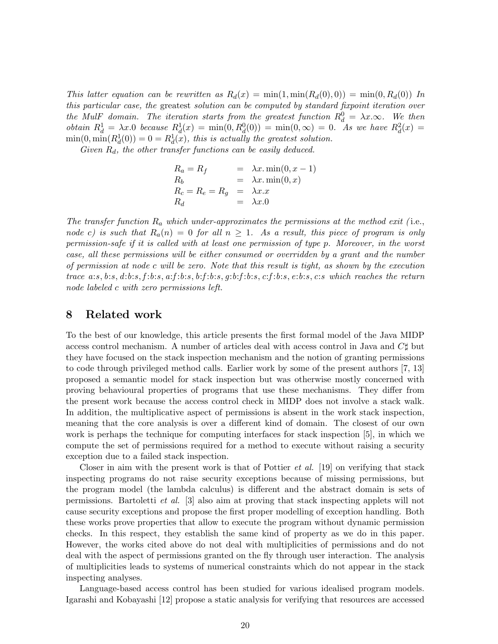*This latter equation can be rewritten as*  $R_d(x) = \min(1, \min(R_d(0), 0)) = \min(0, R_d(0))$  *In this particular case, the* greatest *solution can be computed by standard fixpoint iteration over the* MulF domain. The iteration starts from the greatest function  $R_d^0 = \lambda x.\infty$ . We then *obtain*  $R_d^1 = \lambda x.0$  *because*  $R_d^1(x) = \min(0, R_d^0(0)) = \min(0, \infty) = 0$ . As we have  $R_d^2(x) =$  $\min(0, \min(R_d^1(0)) = 0 = R_d^1(x)$ , this is actually the greatest solution.

*Given* Rd*, the other transfer functions can be easily deduced.*

$$
R_a = R_f = \lambda x . min(0, x - 1)
$$
  
\n
$$
R_b = R_e = R_g = \lambda x . min(0, x)
$$
  
\n
$$
R_d = \lambda x . x
$$
  
\n
$$
R_d = \lambda x . 0
$$

*The transfer function* R<sup>a</sup> *which under-approximates the permissions at the method exit (* i.e., *node* c) is such that  $R_a(n) = 0$  for all  $n \geq 1$ . As a result, this piece of program is only *permission-safe if it is called with at least one permission of type* p*. Moreover, in the worst case, all these permissions will be either consumed or overridden by a* grant *and the number of permission at node* c *will be zero. Note that this result is tight, as shown by the execution trace* a:s, b:s, d:b:s, f :b:s, a:f :b:s, b:f :b:s, g:b:f :b:s, c:f :b:s, e:b:s, c:s *which reaches the return node labeled* c *with zero permissions left.*

### **8 Related work**

To the best of our knowledge, this article presents the first formal model of the Java MIDP access control mechanism. A number of articles deal with access control in Java and C♯ but they have focused on the stack inspection mechanism and the notion of granting permissions to code through privileged method calls. Earlier work by some of the present authors [7, 13] proposed a semantic model for stack inspection but was otherwise mostly concerned with proving behavioural properties of programs that use these mechanisms. They differ from the present work because the access control check in MIDP does not involve a stack walk. In addition, the multiplicative aspect of permissions is absent in the work stack inspection, meaning that the core analysis is over a different kind of domain. The closest of our own work is perhaps the technique for computing interfaces for stack inspection [5], in which we compute the set of permissions required for a method to execute without raising a security exception due to a failed stack inspection.

Closer in aim with the present work is that of Pottier *et al.* [19] on verifying that stack inspecting programs do not raise security exceptions because of missing permissions, but the program model (the lambda calculus) is different and the abstract domain is sets of permissions. Bartoletti *et al.* [3] also aim at proving that stack inspecting applets will not cause security exceptions and propose the first proper modelling of exception handling. Both these works prove properties that allow to execute the program without dynamic permission checks. In this respect, they establish the same kind of property as we do in this paper. However, the works cited above do not deal with multiplicities of permissions and do not deal with the aspect of permissions granted on the fly through user interaction. The analysis of multiplicities leads to systems of numerical constraints which do not appear in the stack inspecting analyses.

Language-based access control has been studied for various idealised program models. Igarashi and Kobayashi [12] propose a static analysis for verifying that resources are accessed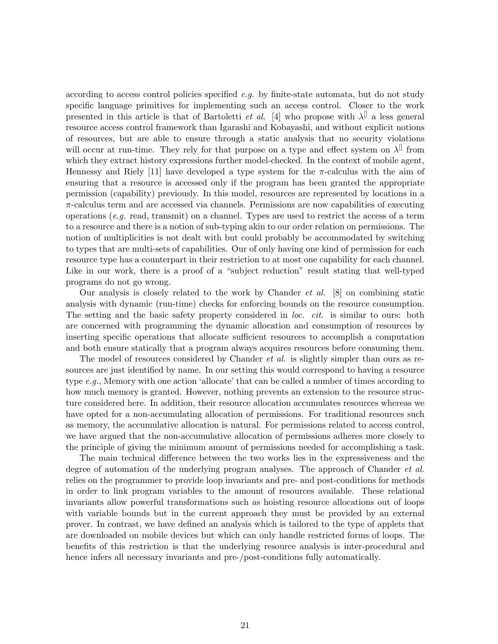according to access control policies specified *e.g.* by finite-state automata, but do not study specific language primitives for implementing such an access control. Closer to the work presented in this article is that of Bartoletti *et al.* [4] who propose with  $\lambda^{\parallel}$  a less general resource access control framework than Igarashi and Kobayashi, and without explicit notions of resources, but are able to ensure through a static analysis that no security violations will occur at run-time. They rely for that purpose on a type and effect system on  $\lambda^{\parallel}$  from which they extract history expressions further model-checked. In the context of mobile agent, Hennessy and Riely [11] have developed a type system for the  $\pi$ -calculus with the aim of ensuring that a resource is accessed only if the program has been granted the appropriate permission (capability) previously. In this model, resources are represented by locations in a  $\pi$ -calculus term and are accessed via channels. Permissions are now capabilities of executing operations (*e.g.* read, transmit) on a channel. Types are used to restrict the access of a term to a resource and there is a notion of sub-typing akin to our order relation on permissions. The notion of multiplicities is not dealt with but could probably be accommodated by switching to types that are multi-sets of capabilities. Our of only having one kind of permission for each resource type has a counterpart in their restriction to at most one capability for each channel. Like in our work, there is a proof of a "subject reduction" result stating that well-typed programs do not go wrong.

Our analysis is closely related to the work by Chander *et al.* [8] on combining static analysis with dynamic (run-time) checks for enforcing bounds on the resource consumption. The setting and the basic safety property considered in *loc. cit.* is similar to ours: both are concerned with programming the dynamic allocation and consumption of resources by inserting specific operations that allocate sufficient resources to accomplish a computation and both ensure statically that a program always acquires resources before consuming them.

The model of resources considered by Chander *et al.* is slightly simpler than ours as resources are just identified by name. In our setting this would correspond to having a resource type *e.g.*, Memory with one action 'allocate' that can be called a number of times according to how much memory is granted. However, nothing prevents an extension to the resource structure considered here. In addition, their resource allocation accumulates resources whereas we have opted for a non-accumulating allocation of permissions. For traditional resources such as memory, the accumulative allocation is natural. For permissions related to access control, we have argued that the non-accumulative allocation of permissions adheres more closely to the principle of giving the minimum amount of permissions needed for accomplishing a task.

The main technical difference between the two works lies in the expressiveness and the degree of automation of the underlying program analyses. The approach of Chander *et al.* relies on the programmer to provide loop invariants and pre- and post-conditions for methods in order to link program variables to the amount of resources available. These relational invariants allow powerful transformations such as hoisting resource allocations out of loops with variable bounds but in the current approach they must be provided by an external prover. In contrast, we have defined an analysis which is tailored to the type of applets that are downloaded on mobile devices but which can only handle restricted forms of loops. The benefits of this restriction is that the underlying resource analysis is inter-procedural and hence infers all necessary invariants and pre-/post-conditions fully automatically.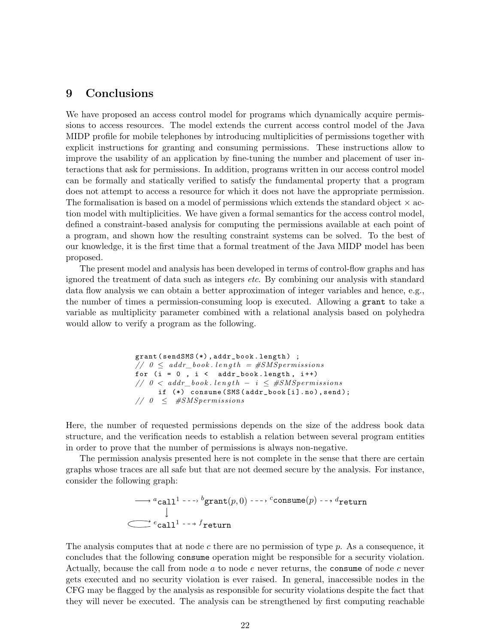## **9 Conclusions**

We have proposed an access control model for programs which dynamically acquire permissions to access resources. The model extends the current access control model of the Java MIDP profile for mobile telephones by introducing multiplicities of permissions together with explicit instructions for granting and consuming permissions. These instructions allow to improve the usability of an application by fine-tuning the number and placement of user interactions that ask for permissions. In addition, programs written in our access control model can be formally and statically verified to satisfy the fundamental property that a program does not attempt to access a resource for which it does not have the appropriate permission. The formalisation is based on a model of permissions which extends the standard object  $\times$  action model with multiplicities. We have given a formal semantics for the access control model, defined a constraint-based analysis for computing the permissions available at each point of a program, and shown how the resulting constraint systems can be solved. To the best of our knowledge, it is the first time that a formal treatment of the Java MIDP model has been proposed.

The present model and analysis has been developed in terms of control-flow graphs and has ignored the treatment of data such as integers *etc*. By combining our analysis with standard data flow analysis we can obtain a better approximation of integer variables and hence, e.g., the number of times a permission-consuming loop is executed. Allowing a grant to take a variable as multiplicity parameter combined with a relational analysis based on polyhedra would allow to verify a program as the following.

> grant( sendSMS (\*), addr\_book . length ) ;  $\frac{1}{2}$  *0*  $\leq$  *addr\_book.length* =  $\#SMSpermssions$ for  $(i = 0, i < addr\_book.length, i++)$  $// 0 < addr\_book.length - i \leq #SMSperiments$ if (\*) consume (SMS( addr\_book [i].no),send ); *// 0* ≤ *#SMSpermissions*

Here, the number of requested permissions depends on the size of the address book data structure, and the verification needs to establish a relation between several program entities in order to prove that the number of permissions is always non-negative.

The permission analysis presented here is not complete in the sense that there are certain graphs whose traces are all safe but that are not deemed secure by the analysis. For instance, consider the following graph:

> $^a$ call $^1$  --->  $^b$ grant $(p, 0)$  --->  $^c$ consume $(p)$  -->  $^d$ return  $^e$ call $^1$  -- $^f$ return

The analysis computes that at node c there are no permission of type  $p$ . As a consequence, it concludes that the following consume operation might be responsible for a security violation. Actually, because the call from node a to node e never returns, the consume of node c never gets executed and no security violation is ever raised. In general, inaccessible nodes in the CFG may be flagged by the analysis as responsible for security violations despite the fact that they will never be executed. The analysis can be strengthened by first computing reachable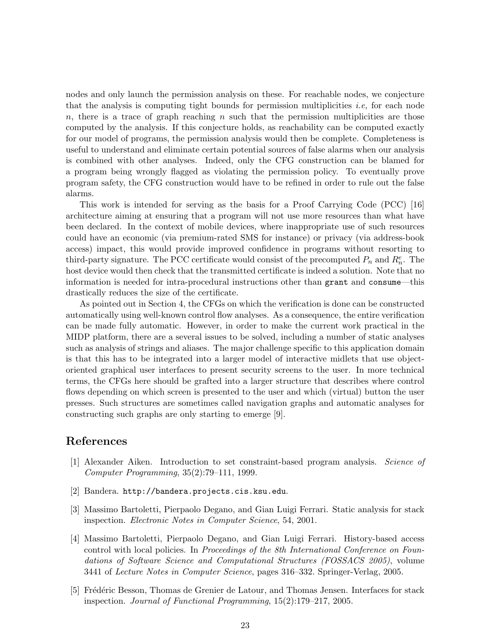nodes and only launch the permission analysis on these. For reachable nodes, we conjecture that the analysis is computing tight bounds for permission multiplicities *i.e,* for each node  $n$ , there is a trace of graph reaching n such that the permission multiplicities are those computed by the analysis. If this conjecture holds, as reachability can be computed exactly for our model of programs, the permission analysis would then be complete. Completeness is useful to understand and eliminate certain potential sources of false alarms when our analysis is combined with other analyses. Indeed, only the CFG construction can be blamed for a program being wrongly flagged as violating the permission policy. To eventually prove program safety, the CFG construction would have to be refined in order to rule out the false alarms.

This work is intended for serving as the basis for a Proof Carrying Code (PCC) [16] architecture aiming at ensuring that a program will not use more resources than what have been declared. In the context of mobile devices, where inappropriate use of such resources could have an economic (via premium-rated SMS for instance) or privacy (via address-book access) impact, this would provide improved confidence in programs without resorting to third-party signature. The PCC certificate would consist of the precomputed  $P_n$  and  $R_n^e$ . The host device would then check that the transmitted certificate is indeed a solution. Note that no information is needed for intra-procedural instructions other than grant and consume—this drastically reduces the size of the certificate.

As pointed out in Section 4, the CFGs on which the verification is done can be constructed automatically using well-known control flow analyses. As a consequence, the entire verification can be made fully automatic. However, in order to make the current work practical in the MIDP platform, there are a several issues to be solved, including a number of static analyses such as analysis of strings and aliases. The major challenge specific to this application domain is that this has to be integrated into a larger model of interactive midlets that use objectoriented graphical user interfaces to present security screens to the user. In more technical terms, the CFGs here should be grafted into a larger structure that describes where control flows depending on which screen is presented to the user and which (virtual) button the user presses. Such structures are sometimes called navigation graphs and automatic analyses for constructing such graphs are only starting to emerge [9].

#### **References**

- [1] Alexander Aiken. Introduction to set constraint-based program analysis. *Science of Computer Programming*, 35(2):79–111, 1999.
- [2] Bandera. http://bandera.projects.cis.ksu.edu.
- [3] Massimo Bartoletti, Pierpaolo Degano, and Gian Luigi Ferrari. Static analysis for stack inspection. *Electronic Notes in Computer Science*, 54, 2001.
- [4] Massimo Bartoletti, Pierpaolo Degano, and Gian Luigi Ferrari. History-based access control with local policies. In *Proceedings of the 8th International Conference on Foundations of Software Science and Computational Structures (FOSSACS 2005)*, volume 3441 of *Lecture Notes in Computer Science*, pages 316–332. Springer-Verlag, 2005.
- [5] Frédéric Besson, Thomas de Grenier de Latour, and Thomas Jensen. Interfaces for stack inspection. *Journal of Functional Programming*, 15(2):179–217, 2005.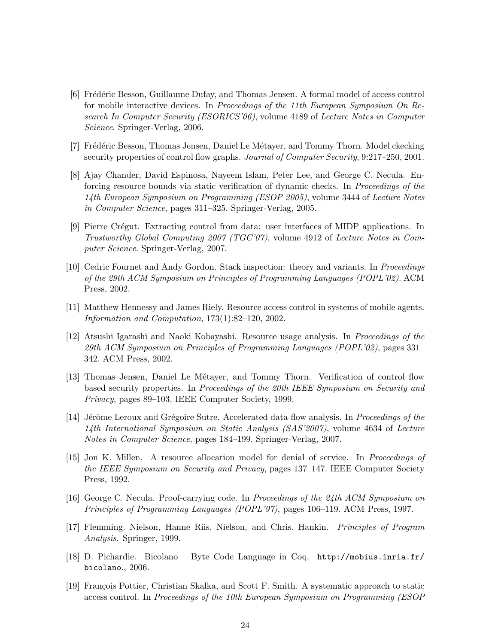- [6] Frédéric Besson, Guillaume Dufay, and Thomas Jensen. A formal model of access control for mobile interactive devices. In *Proceedings of the 11th European Symposium On Research In Computer Security (ESORICS'06)*, volume 4189 of *Lecture Notes in Computer Science*. Springer-Verlag, 2006.
- [7] Frédéric Besson, Thomas Jensen, Daniel Le Métayer, and Tommy Thorn. Model ckecking security properties of control flow graphs. *Journal of Computer Security*, 9:217–250, 2001.
- [8] Ajay Chander, David Espinosa, Nayeem Islam, Peter Lee, and George C. Necula. Enforcing resource bounds via static verification of dynamic checks. In *Proceedings of the 14th European Symposium on Programming (ESOP 2005)*, volume 3444 of *Lecture Notes in Computer Science*, pages 311–325. Springer-Verlag, 2005.
- [9] Pierre Crégut. Extracting control from data: user interfaces of MIDP applications. In *Trustworthy Global Computing 2007 (TGC'07)*, volume 4912 of *Lecture Notes in Computer Science*. Springer-Verlag, 2007.
- [10] Cedric Fournet and Andy Gordon. Stack inspection: theory and variants. In *Proceedings of the 29th ACM Symposium on Principles of Programming Languages (POPL'02)*. ACM Press, 2002.
- [11] Matthew Hennessy and James Riely. Resource access control in systems of mobile agents. *Information and Computation*, 173(1):82–120, 2002.
- [12] Atsushi Igarashi and Naoki Kobayashi. Resource usage analysis. In *Proceedings of the 29th ACM Symposium on Principles of Programming Languages (POPL'02)*, pages 331– 342. ACM Press, 2002.
- [13] Thomas Jensen, Daniel Le Métayer, and Tommy Thorn. Verification of control flow based security properties. In *Proceedings of the 20th IEEE Symposium on Security and Privacy*, pages 89–103. IEEE Computer Society, 1999.
- [14] Jérôme Leroux and Grégoire Sutre. Accelerated data-flow analysis. In *Proceedings of the 14th International Symposium on Static Analysis (SAS'2007)*, volume 4634 of *Lecture Notes in Computer Science*, pages 184–199. Springer-Verlag, 2007.
- [15] Jon K. Millen. A resource allocation model for denial of service. In *Proceedings of the IEEE Symposium on Security and Privacy*, pages 137–147. IEEE Computer Society Press, 1992.
- [16] George C. Necula. Proof-carrying code. In *Proceedings of the 24th ACM Symposium on Principles of Programming Languages (POPL'97)*, pages 106–119. ACM Press, 1997.
- [17] Flemming. Nielson, Hanne Riis. Nielson, and Chris. Hankin. *Principles of Program Analysis*. Springer, 1999.
- [18] D. Pichardie. Bicolano Byte Code Language in Coq. http://mobius.inria.fr/ bicolano., 2006.
- [19] François Pottier, Christian Skalka, and Scott F. Smith. A systematic approach to static access control. In *Proceedings of the 10th European Symposium on Programming (ESOP*